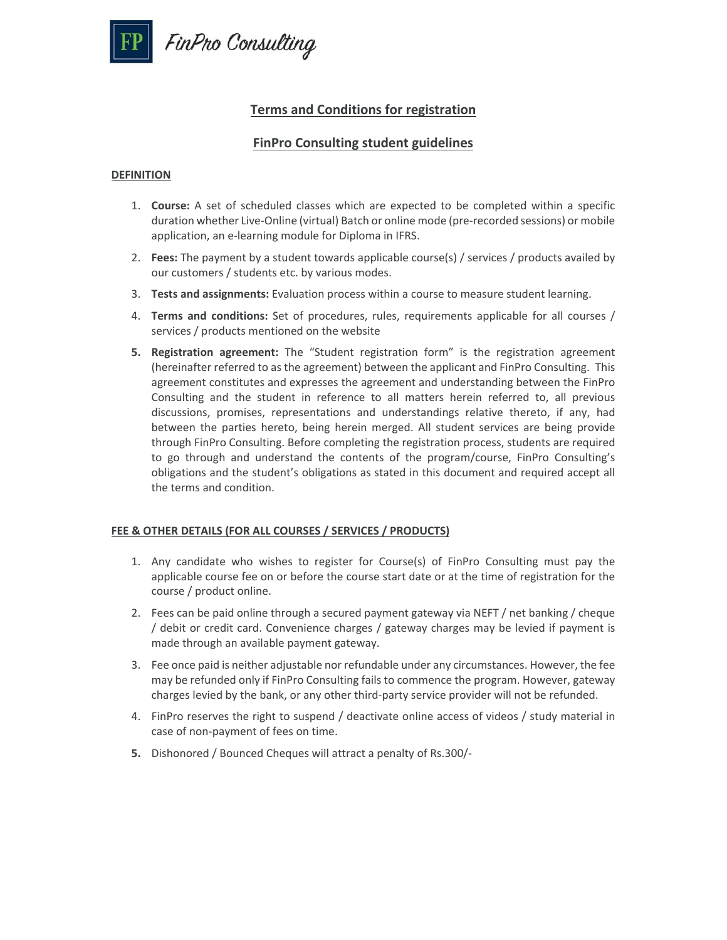

# **Terms and Conditions for registration**

## **FinPro Consulting student guidelines**

#### **DEFINITION**

- 1. **Course:** A set of scheduled classes which are expected to be completed within a specific duration whether Live‐Online (virtual) Batch or online mode (pre‐recorded sessions) or mobile application, an e‐learning module for Diploma in IFRS.
- 2. **Fees:** The payment by a student towards applicable course(s) / services / products availed by our customers / students etc. by various modes.
- 3. **Tests and assignments:** Evaluation process within a course to measure student learning.
- 4. **Terms and conditions:** Set of procedures, rules, requirements applicable for all courses / services / products mentioned on the website
- **5. Registration agreement:** The "Student registration form" is the registration agreement (hereinafter referred to as the agreement) between the applicant and FinPro Consulting. This agreement constitutes and expresses the agreement and understanding between the FinPro Consulting and the student in reference to all matters herein referred to, all previous discussions, promises, representations and understandings relative thereto, if any, had between the parties hereto, being herein merged. All student services are being provide through FinPro Consulting. Before completing the registration process, students are required to go through and understand the contents of the program/course, FinPro Consulting's obligations and the student's obligations as stated in this document and required accept all the terms and condition.

## **FEE & OTHER DETAILS (FOR ALL COURSES / SERVICES / PRODUCTS)**

- 1. Any candidate who wishes to register for Course(s) of FinPro Consulting must pay the applicable course fee on or before the course start date or at the time of registration for the course / product online.
- 2. Fees can be paid online through a secured payment gateway via NEFT / net banking / cheque / debit or credit card. Convenience charges / gateway charges may be levied if payment is made through an available payment gateway.
- 3. Fee once paid is neither adjustable nor refundable under any circumstances. However, the fee may be refunded only if FinPro Consulting fails to commence the program. However, gateway charges levied by the bank, or any other third‐party service provider will not be refunded.
- 4. FinPro reserves the right to suspend / deactivate online access of videos / study material in case of non‐payment of fees on time.
- **5.** Dishonored / Bounced Cheques will attract a penalty of Rs.300/‐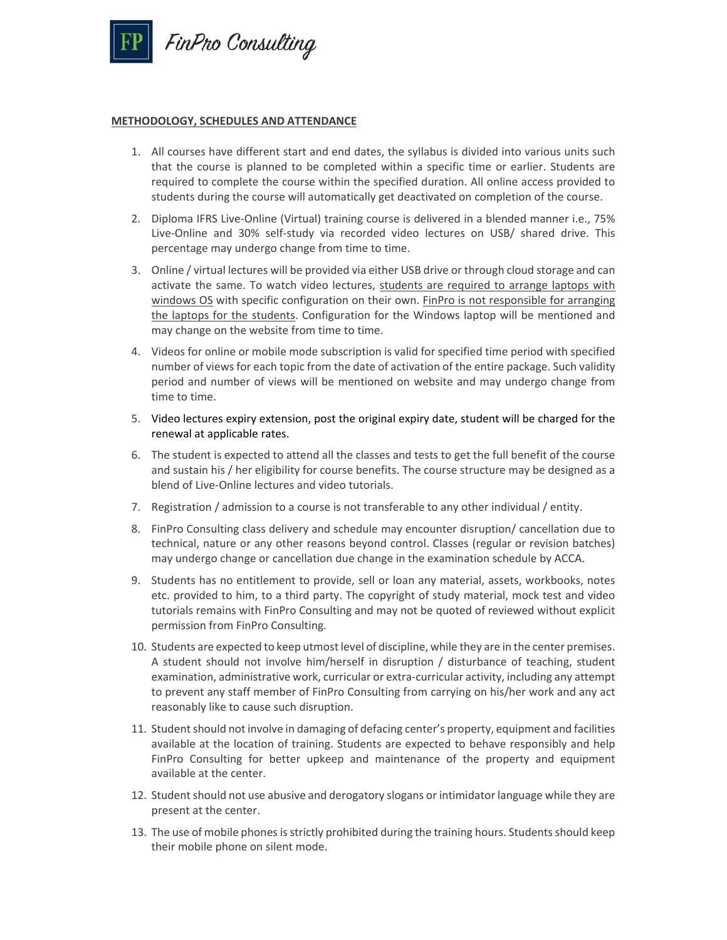

#### **METHODOLOGY, SCHEDULES AND ATTENDANCE**

- 1. All courses have different start and end dates, the syllabus is divided into various units such that the course is planned to be completed within a specific time or earlier. Students are required to complete the course within the specified duration. All online access provided to students during the course will automatically get deactivated on completion of the course.
- 2. Diploma IFRS Live-Online (Virtual) training course is delivered in a blended manner i.e., 75% Live-Online and 30% self-study via recorded video lectures on USB/ shared drive. This percentage may undergo change from time to time.
- 3. Online / virtual lectures will be provided via either USB drive or through cloud storage and can activate the same. To watch video lectures, students are required to arrange laptops with windows OS with specific configuration on their own. FinPro is not responsible for arranging the laptops for the students. Configuration for the Windows laptop will be mentioned and may change on the website from time to time.
- 4. Videos for online or mobile mode subscription is valid for specified time period with specified number of views for each topic from the date of activation of the entire package. Such validity period and number of views will be mentioned on website and may undergo change from time to time.
- 5. Video lectures expiry extension, post the original expiry date, student will be charged for the renewal at applicable rates.
- 6. The student is expected to attend all the classes and tests to get the full benefit of the course and sustain his / her eligibility for course benefits. The course structure may be designed as a blend of Live‐Online lectures and video tutorials.
- 7. Registration / admission to a course is not transferable to any other individual / entity.
- 8. FinPro Consulting class delivery and schedule may encounter disruption/ cancellation due to technical, nature or any other reasons beyond control. Classes (regular or revision batches) may undergo change or cancellation due change in the examination schedule by ACCA.
- 9. Students has no entitlement to provide, sell or loan any material, assets, workbooks, notes etc. provided to him, to a third party. The copyright of study material, mock test and video tutorials remains with FinPro Consulting and may not be quoted of reviewed without explicit permission from FinPro Consulting.
- 10. Students are expected to keep utmost level of discipline, while they are in the center premises. A student should not involve him/herself in disruption / disturbance of teaching, student examination, administrative work, curricular or extra‐curricular activity, including any attempt to prevent any staff member of FinPro Consulting from carrying on his/her work and any act reasonably like to cause such disruption.
- 11. Student should not involve in damaging of defacing center's property, equipment and facilities available at the location of training. Students are expected to behave responsibly and help FinPro Consulting for better upkeep and maintenance of the property and equipment available at the center.
- 12. Student should not use abusive and derogatory slogans or intimidator language while they are present at the center.
- 13. The use of mobile phones is strictly prohibited during the training hours. Students should keep their mobile phone on silent mode.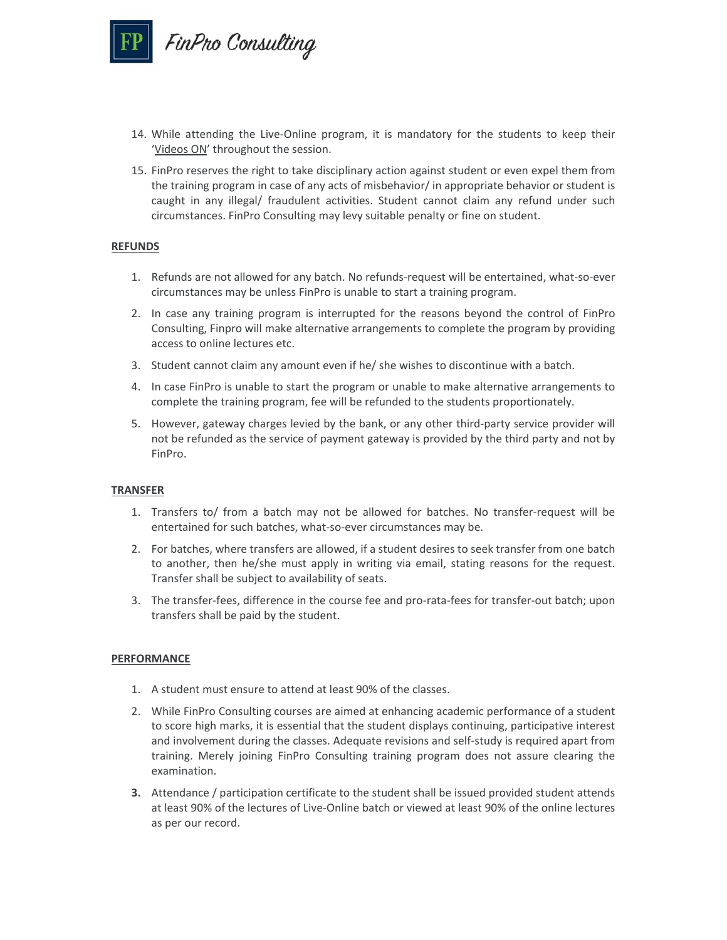

- 14. While attending the Live-Online program, it is mandatory for the students to keep their 'Videos ON' throughout the session.
- 15. FinPro reserves the right to take disciplinary action against student or even expel them from the training program in case of any acts of misbehavior/ in appropriate behavior or student is caught in any illegal/ fraudulent activities. Student cannot claim any refund under such circumstances. FinPro Consulting may levy suitable penalty or fine on student.

#### **REFUNDS**

- 1. Refunds are not allowed for any batch. No refunds-request will be entertained, what-so-ever circumstances may be unless FinPro is unable to start a training program.
- 2. In case any training program is interrupted for the reasons beyond the control of FinPro Consulting, Finpro will make alternative arrangements to complete the program by providing access to online lectures etc.
- 3. Student cannot claim any amount even if he/ she wishes to discontinue with a batch.
- 4. In case FinPro is unable to start the program or unable to make alternative arrangements to complete the training program, fee will be refunded to the students proportionately.
- 5. However, gateway charges levied by the bank, or any other third-party service provider will not be refunded as the service of payment gateway is provided by the third party and not by FinPro.

## **TRANSFER**

- 1. Transfers to/ from a batch may not be allowed for batches. No transfer-request will be entertained for such batches, what‐so‐ever circumstances may be.
- 2. For batches, where transfers are allowed, if a student desires to seek transfer from one batch to another, then he/she must apply in writing via email, stating reasons for the request. Transfer shall be subject to availability of seats.
- 3. The transfer-fees, difference in the course fee and pro-rata-fees for transfer-out batch; upon transfers shall be paid by the student.

#### **PERFORMANCE**

- 1. A student must ensure to attend at least 90% of the classes.
- 2. While FinPro Consulting courses are aimed at enhancing academic performance of a student to score high marks, it is essential that the student displays continuing, participative interest and involvement during the classes. Adequate revisions and self‐study is required apart from training. Merely joining FinPro Consulting training program does not assure clearing the examination.
- **3.** Attendance / participation certificate to the student shall be issued provided student attends at least 90% of the lectures of Live‐Online batch or viewed at least 90% of the online lectures as per our record.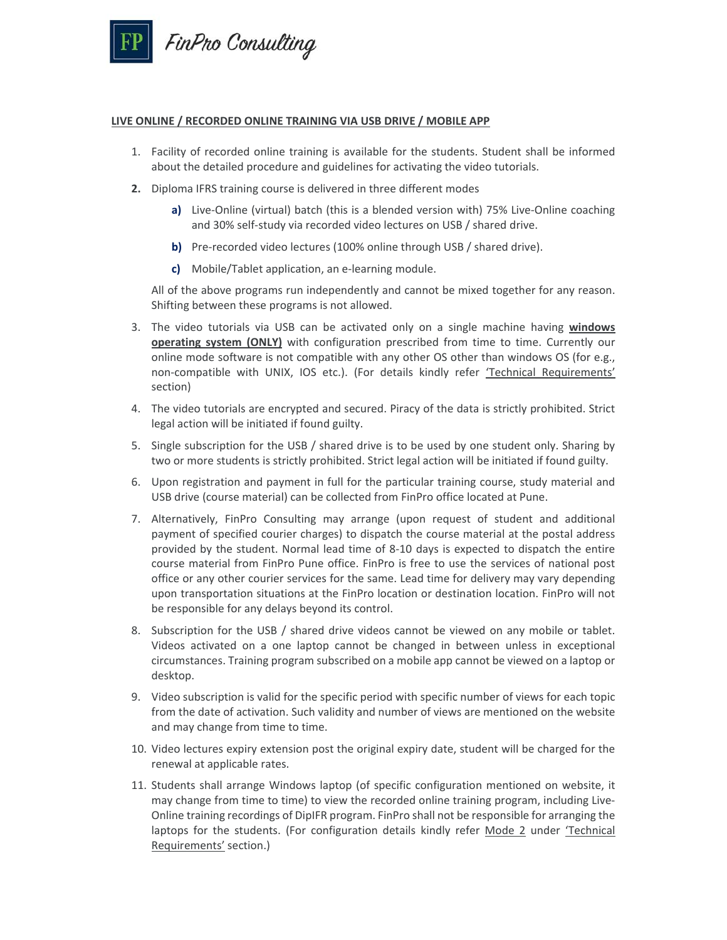

#### **LIVE ONLINE / RECORDED ONLINE TRAINING VIA USB DRIVE / MOBILE APP**

- 1. Facility of recorded online training is available for the students. Student shall be informed about the detailed procedure and guidelines for activating the video tutorials.
- **2.** Diploma IFRS training course is delivered in three different modes
	- **a)** Live‐Online (virtual) batch (this is a blended version with) 75% Live‐Online coaching and 30% self‐study via recorded video lectures on USB / shared drive.
	- **b)** Pre-recorded video lectures (100% online through USB / shared drive).
	- **c)** Mobile/Tablet application, an e‐learning module.

All of the above programs run independently and cannot be mixed together for any reason. Shifting between these programs is not allowed.

- 3. The video tutorials via USB can be activated only on a single machine having **windows operating system (ONLY)** with configuration prescribed from time to time. Currently our online mode software is not compatible with any other OS other than windows OS (for e.g., non-compatible with UNIX, IOS etc.). (For details kindly refer 'Technical Requirements' section)
- 4. The video tutorials are encrypted and secured. Piracy of the data is strictly prohibited. Strict legal action will be initiated if found guilty.
- 5. Single subscription for the USB / shared drive is to be used by one student only. Sharing by two or more students is strictly prohibited. Strict legal action will be initiated if found guilty.
- 6. Upon registration and payment in full for the particular training course, study material and USB drive (course material) can be collected from FinPro office located at Pune.
- 7. Alternatively, FinPro Consulting may arrange (upon request of student and additional payment of specified courier charges) to dispatch the course material at the postal address provided by the student. Normal lead time of 8-10 days is expected to dispatch the entire course material from FinPro Pune office. FinPro is free to use the services of national post office or any other courier services for the same. Lead time for delivery may vary depending upon transportation situations at the FinPro location or destination location. FinPro will not be responsible for any delays beyond its control.
- 8. Subscription for the USB / shared drive videos cannot be viewed on any mobile or tablet. Videos activated on a one laptop cannot be changed in between unless in exceptional circumstances. Training program subscribed on a mobile app cannot be viewed on a laptop or desktop.
- 9. Video subscription is valid for the specific period with specific number of views for each topic from the date of activation. Such validity and number of views are mentioned on the website and may change from time to time.
- 10. Video lectures expiry extension post the original expiry date, student will be charged for the renewal at applicable rates.
- 11. Students shall arrange Windows laptop (of specific configuration mentioned on website, it may change from time to time) to view the recorded online training program, including Live‐ Online training recordings of DipIFR program. FinPro shall not be responsible for arranging the laptops for the students. (For configuration details kindly refer Mode 2 under 'Technical Requirements' section.)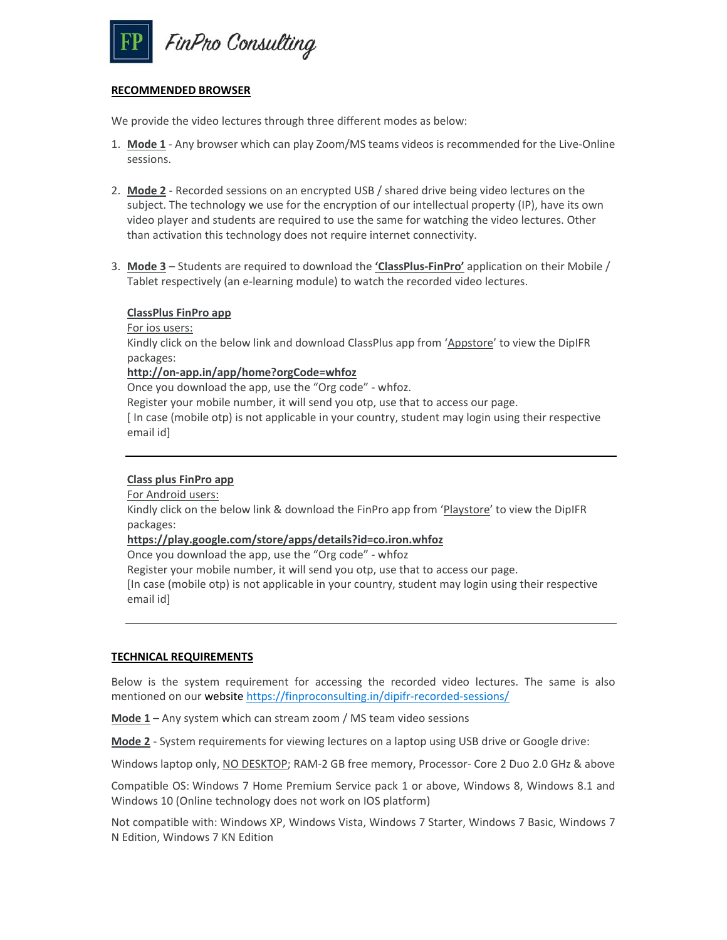

#### **RECOMMENDED BROWSER**

We provide the video lectures through three different modes as below:

- 1. **Mode 1** ‐ Any browser which can play Zoom/MS teams videos is recommended for the Live‐Online sessions.
- 2. **Mode 2** ‐ Recorded sessions on an encrypted USB / shared drive being video lectures on the subject. The technology we use for the encryption of our intellectual property (IP), have its own video player and students are required to use the same for watching the video lectures. Other than activation this technology does not require internet connectivity.
- 3. **Mode 3** Students are required to download the **'ClassPlus‐FinPro'** application on their Mobile / Tablet respectively (an e‐learning module) to watch the recorded video lectures.

#### **ClassPlus FinPro app**

For ios users:

Kindly click on the below link and download ClassPlus app from 'Appstore' to view the DipIFR packages:

**http://on‐app.in/app/home?orgCode=whfoz** 

Once you download the app, use the "Org code" ‐ whfoz.

Register your mobile number, it will send you otp, use that to access our page.

[ In case (mobile otp) is not applicable in your country, student may login using their respective email id]

## **Class plus FinPro app**

For Android users:

Kindly click on the below link & download the FinPro app from 'Playstore' to view the DipIFR packages:

#### **https://play.google.com/store/apps/details?id=co.iron.whfoz**

Once you download the app, use the "Org code" ‐ whfoz

Register your mobile number, it will send you otp, use that to access our page.

[In case (mobile otp) is not applicable in your country, student may login using their respective email id]

## **TECHNICAL REQUIREMENTS**

Below is the system requirement for accessing the recorded video lectures. The same is also mentioned on our website https://finproconsulting.in/dipifr-recorded-sessions/

**Mode 1** – Any system which can stream zoom / MS team video sessions

**Mode 2** ‐ System requirements for viewing lectures on a laptop using USB drive or Google drive:

Windows laptop only, NO DESKTOP; RAM-2 GB free memory, Processor- Core 2 Duo 2.0 GHz & above

Compatible OS: Windows 7 Home Premium Service pack 1 or above, Windows 8, Windows 8.1 and Windows 10 (Online technology does not work on IOS platform)

Not compatible with: Windows XP, Windows Vista, Windows 7 Starter, Windows 7 Basic, Windows 7 N Edition, Windows 7 KN Edition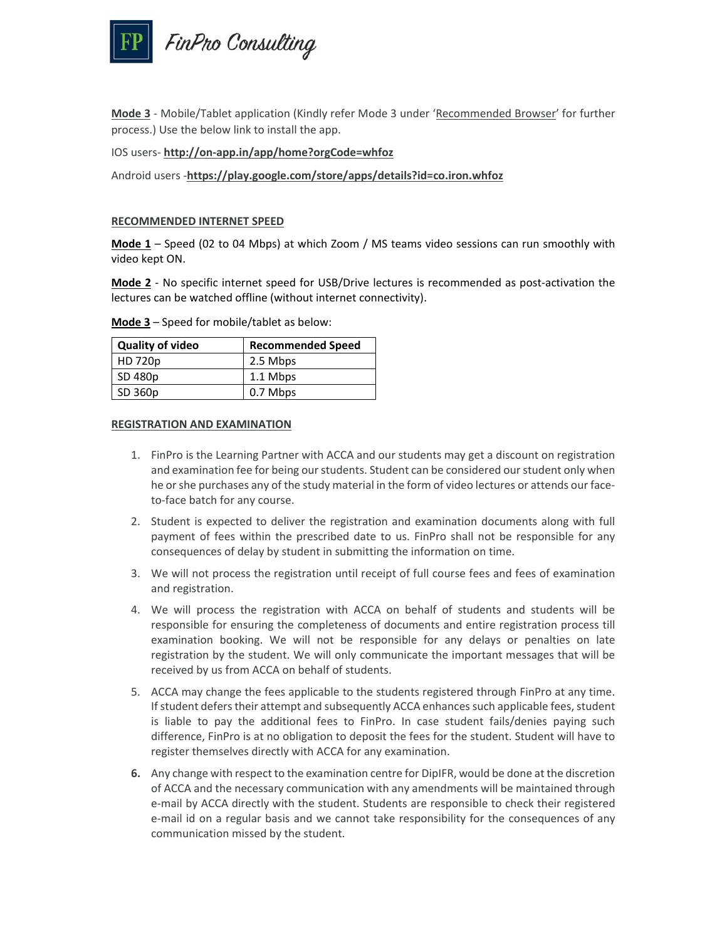

**Mode 3** ‐ Mobile/Tablet application (Kindly refer Mode 3 under 'Recommended Browser' for further process.) Use the below link to install the app.

#### IOS users‐ **http://on‐app.in/app/home?orgCode=whfoz**

Android users ‐**https://play.google.com/store/apps/details?id=co.iron.whfoz**

#### **RECOMMENDED INTERNET SPEED**

**Mode 1** – Speed (02 to 04 Mbps) at which Zoom / MS teams video sessions can run smoothly with video kept ON.

**Mode 2** - No specific internet speed for USB/Drive lectures is recommended as post-activation the lectures can be watched offline (without internet connectivity).

| <b>Quality of video</b> | <b>Recommended Speed</b> |
|-------------------------|--------------------------|
| HD 720p                 | 2.5 Mbps                 |
| SD 480p                 | 1.1 Mbps                 |
| SD 360p                 | 0.7 Mbps                 |

#### **Mode 3** – Speed for mobile/tablet as below:

#### **REGISTRATION AND EXAMINATION**

- 1. FinPro is the Learning Partner with ACCA and our students may get a discount on registration and examination fee for being our students. Student can be considered our student only when he or she purchases any of the study material in the form of video lectures or attends our faceto‐face batch for any course.
- 2. Student is expected to deliver the registration and examination documents along with full payment of fees within the prescribed date to us. FinPro shall not be responsible for any consequences of delay by student in submitting the information on time.
- 3. We will not process the registration until receipt of full course fees and fees of examination and registration.
- 4. We will process the registration with ACCA on behalf of students and students will be responsible for ensuring the completeness of documents and entire registration process till examination booking. We will not be responsible for any delays or penalties on late registration by the student. We will only communicate the important messages that will be received by us from ACCA on behalf of students.
- 5. ACCA may change the fees applicable to the students registered through FinPro at any time. If student defers their attempt and subsequently ACCA enhances such applicable fees, student is liable to pay the additional fees to FinPro. In case student fails/denies paying such difference, FinPro is at no obligation to deposit the fees for the student. Student will have to register themselves directly with ACCA for any examination.
- **6.** Any change with respect to the examination centre for DipIFR, would be done at the discretion of ACCA and the necessary communication with any amendments will be maintained through e‐mail by ACCA directly with the student. Students are responsible to check their registered e-mail id on a regular basis and we cannot take responsibility for the consequences of any communication missed by the student.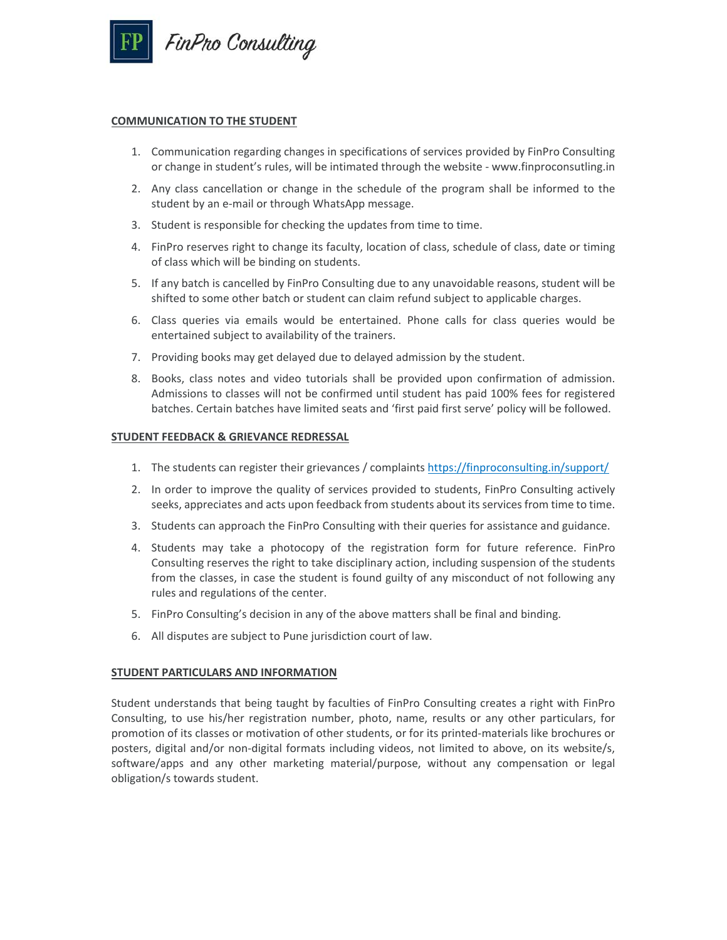

#### **COMMUNICATION TO THE STUDENT**

- 1. Communication regarding changes in specifications of services provided by FinPro Consulting or change in student's rules, will be intimated through the website ‐ www.finproconsutling.in
- 2. Any class cancellation or change in the schedule of the program shall be informed to the student by an e‐mail or through WhatsApp message.
- 3. Student is responsible for checking the updates from time to time.
- 4. FinPro reserves right to change its faculty, location of class, schedule of class, date or timing of class which will be binding on students.
- 5. If any batch is cancelled by FinPro Consulting due to any unavoidable reasons, student will be shifted to some other batch or student can claim refund subject to applicable charges.
- 6. Class queries via emails would be entertained. Phone calls for class queries would be entertained subject to availability of the trainers.
- 7. Providing books may get delayed due to delayed admission by the student.
- 8. Books, class notes and video tutorials shall be provided upon confirmation of admission. Admissions to classes will not be confirmed until student has paid 100% fees for registered batches. Certain batches have limited seats and 'first paid first serve' policy will be followed.

## **STUDENT FEEDBACK & GRIEVANCE REDRESSAL**

- 1. The students can register their grievances / complaints https://finproconsulting.in/support/
- 2. In order to improve the quality of services provided to students, FinPro Consulting actively seeks, appreciates and acts upon feedback from students about its services from time to time.
- 3. Students can approach the FinPro Consulting with their queries for assistance and guidance.
- 4. Students may take a photocopy of the registration form for future reference. FinPro Consulting reserves the right to take disciplinary action, including suspension of the students from the classes, in case the student is found guilty of any misconduct of not following any rules and regulations of the center.
- 5. FinPro Consulting's decision in any of the above matters shall be final and binding.
- 6. All disputes are subject to Pune jurisdiction court of law.

#### **STUDENT PARTICULARS AND INFORMATION**

Student understands that being taught by faculties of FinPro Consulting creates a right with FinPro Consulting, to use his/her registration number, photo, name, results or any other particulars, for promotion of its classes or motivation of other students, or for its printed‐materials like brochures or posters, digital and/or non‐digital formats including videos, not limited to above, on its website/s, software/apps and any other marketing material/purpose, without any compensation or legal obligation/s towards student.